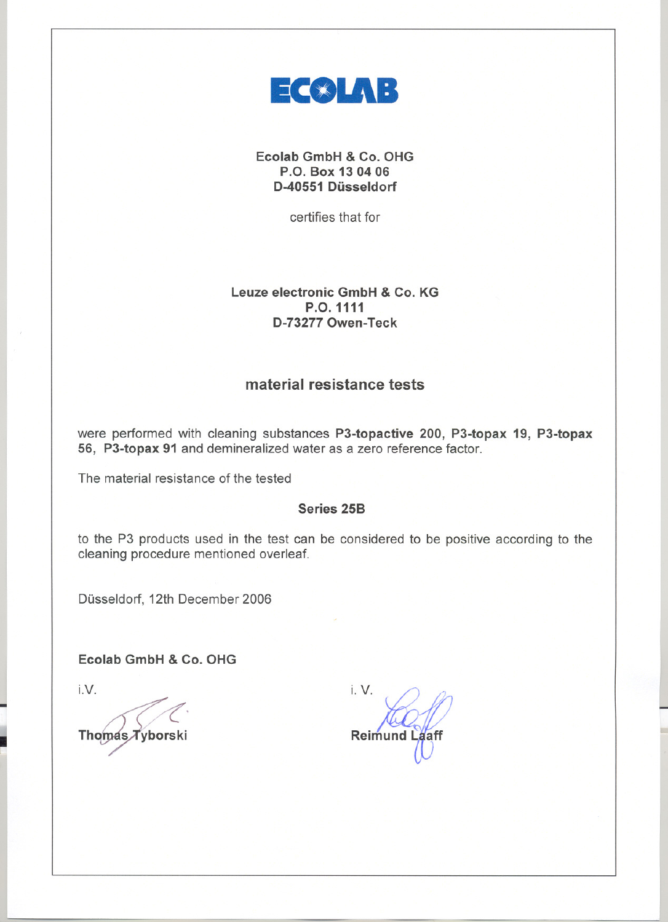

Ecolab GmbH &Co. OHG P.O. Box 13 0406 D-40551 Düsseldorf

certifies that for

Leuze electronic GmbH & Co. KG P.O.1111 D-732770wen-Teck

# material resistance tests

were performed with cleaning substances P3-topactive 200, P3-topax 19, P3-topax 56, P3-topax 91 and demineralized water as a zero reference factor.

The material resistance of the tested

### Series 25B

to the P3 products used in the test can be considered to be positive according to the cleaning procedure mentioned overleaf.

Düsseldorf, 12th December 2006

Ecolab GmbH & Co. OHG

J

. Thomas Tyborski

 $i.V.$  i. V. **Reimund Laaff**